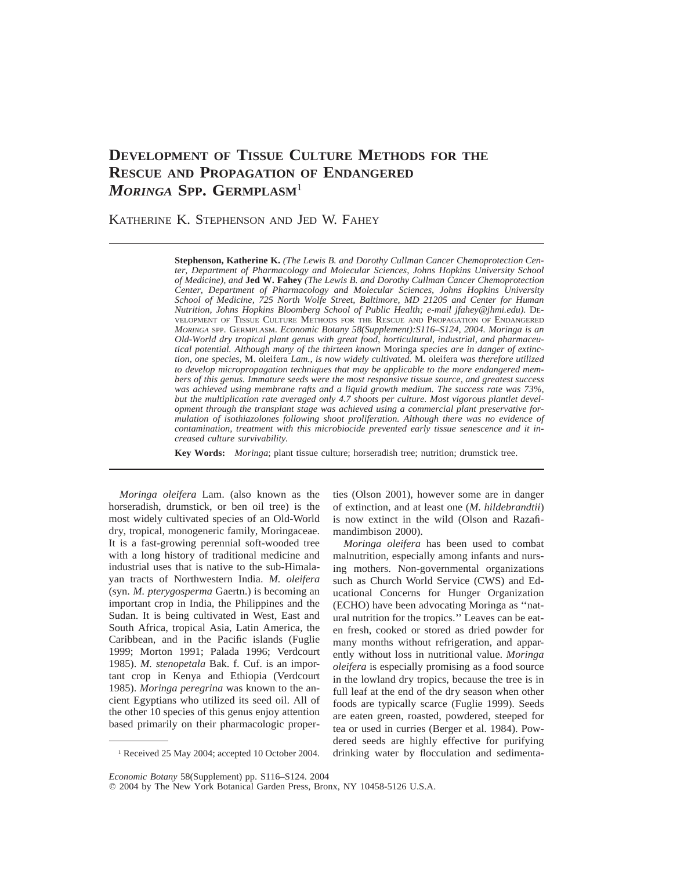# **DEVELOPMENT OF TISSUE CULTURE METHODS FOR THE RESCUE AND PROPAGATION OF ENDANGERED** *MORINGA* **SPP. GERMPLASM**<sup>1</sup>

KATHERINE K. STEPHENSON AND JED W. FAHEY

**Stephenson, Katherine K.** *(The Lewis B. and Dorothy Cullman Cancer Chemoprotection Center, Department of Pharmacology and Molecular Sciences, Johns Hopkins University School of Medicine), and* **Jed W. Fahey** *(The Lewis B. and Dorothy Cullman Cancer Chemoprotection Center, Department of Pharmacology and Molecular Sciences, Johns Hopkins University School of Medicine, 725 North Wolfe Street, Baltimore, MD 21205 and Center for Human Nutrition, Johns Hopkins Bloomberg School of Public Health; e-mail jfahey@jhmi.edu).* DE-VELOPMENT OF TISSUE CULTURE METHODS FOR THE RESCUE AND PROPAGATION OF ENDANGERED *MORINGA* SPP. GERMPLASM. *Economic Botany 58(Supplement):S116–S124, 2004. Moringa is an Old-World dry tropical plant genus with great food, horticultural, industrial, and pharmaceutical potential. Although many of the thirteen known* Moringa *species are in danger of extinction, one species,* M. oleifera *Lam., is now widely cultivated.* M. oleifera *was therefore utilized to develop micropropagation techniques that may be applicable to the more endangered members of this genus. Immature seeds were the most responsive tissue source, and greatest success was achieved using membrane rafts and a liquid growth medium. The success rate was 73%, but the multiplication rate averaged only 4.7 shoots per culture. Most vigorous plantlet development through the transplant stage was achieved using a commercial plant preservative formulation of isothiazolones following shoot proliferation. Although there was no evidence of contamination, treatment with this microbiocide prevented early tissue senescence and it increased culture survivability.*

**Key Words:** *Moringa*; plant tissue culture; horseradish tree; nutrition; drumstick tree.

*Moringa oleifera* Lam. (also known as the horseradish, drumstick, or ben oil tree) is the most widely cultivated species of an Old-World dry, tropical, monogeneric family, Moringaceae. It is a fast-growing perennial soft-wooded tree with a long history of traditional medicine and industrial uses that is native to the sub-Himalayan tracts of Northwestern India. *M. oleifera* (syn. *M. pterygosperma* Gaertn.) is becoming an important crop in India, the Philippines and the Sudan. It is being cultivated in West, East and South Africa, tropical Asia, Latin America, the Caribbean, and in the Pacific islands (Fuglie 1999; Morton 1991; Palada 1996; Verdcourt 1985). *M. stenopetala* Bak. f. Cuf. is an important crop in Kenya and Ethiopia (Verdcourt 1985). *Moringa peregrina* was known to the ancient Egyptians who utilized its seed oil. All of the other 10 species of this genus enjoy attention based primarily on their pharmacologic proper-

<sup>1</sup> Received 25 May 2004; accepted 10 October 2004.

ties (Olson 2001), however some are in danger of extinction, and at least one (*M. hildebrandtii*) is now extinct in the wild (Olson and Razafimandimbison 2000).

*Moringa oleifera* has been used to combat malnutrition, especially among infants and nursing mothers. Non-governmental organizations such as Church World Service (CWS) and Educational Concerns for Hunger Organization (ECHO) have been advocating Moringa as ''natural nutrition for the tropics.'' Leaves can be eaten fresh, cooked or stored as dried powder for many months without refrigeration, and apparently without loss in nutritional value. *Moringa oleifera* is especially promising as a food source in the lowland dry tropics, because the tree is in full leaf at the end of the dry season when other foods are typically scarce (Fuglie 1999). Seeds are eaten green, roasted, powdered, steeped for tea or used in curries (Berger et al. 1984). Powdered seeds are highly effective for purifying drinking water by flocculation and sedimenta-

*Economic Botany* 58(Supplement) pp. S116–S124. 2004

 $©$  2004 by The New York Botanical Garden Press, Bronx, NY 10458-5126 U.S.A.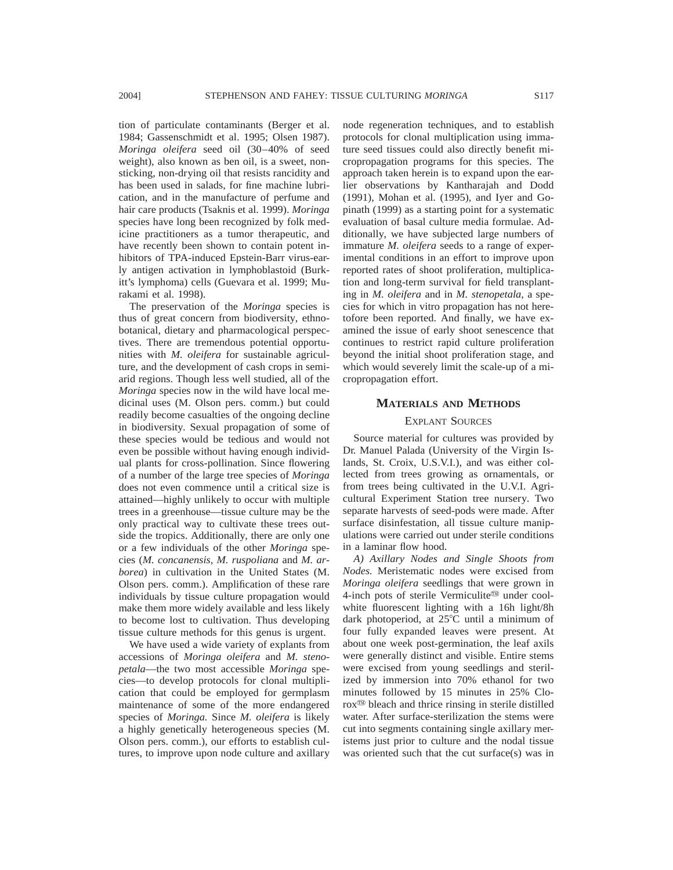tion of particulate contaminants (Berger et al. 1984; Gassenschmidt et al. 1995; Olsen 1987). *Moringa oleifera* seed oil (30–40% of seed weight), also known as ben oil, is a sweet, nonsticking, non-drying oil that resists rancidity and has been used in salads, for fine machine lubrication, and in the manufacture of perfume and hair care products (Tsaknis et al. 1999). *Moringa* species have long been recognized by folk medicine practitioners as a tumor therapeutic, and have recently been shown to contain potent inhibitors of TPA-induced Epstein-Barr virus-early antigen activation in lymphoblastoid (Burkitt's lymphoma) cells (Guevara et al. 1999; Murakami et al. 1998).

The preservation of the *Moringa* species is thus of great concern from biodiversity, ethnobotanical, dietary and pharmacological perspectives. There are tremendous potential opportunities with *M. oleifera* for sustainable agriculture, and the development of cash crops in semiarid regions. Though less well studied, all of the *Moringa* species now in the wild have local medicinal uses (M. Olson pers. comm.) but could readily become casualties of the ongoing decline in biodiversity. Sexual propagation of some of these species would be tedious and would not even be possible without having enough individual plants for cross-pollination. Since flowering of a number of the large tree species of *Moringa* does not even commence until a critical size is attained—highly unlikely to occur with multiple trees in a greenhouse—tissue culture may be the only practical way to cultivate these trees outside the tropics. Additionally, there are only one or a few individuals of the other *Moringa* species (*M. concanensis, M. ruspoliana* and *M. arborea*) in cultivation in the United States (M. Olson pers. comm.). Amplification of these rare individuals by tissue culture propagation would make them more widely available and less likely to become lost to cultivation. Thus developing tissue culture methods for this genus is urgent.

We have used a wide variety of explants from accessions of *Moringa oleifera* and *M. stenopetala*—the two most accessible *Moringa* species—to develop protocols for clonal multiplication that could be employed for germplasm maintenance of some of the more endangered species of *Moringa.* Since *M. oleifera* is likely a highly genetically heterogeneous species (M. Olson pers. comm.), our efforts to establish cultures, to improve upon node culture and axillary node regeneration techniques, and to establish protocols for clonal multiplication using immature seed tissues could also directly benefit micropropagation programs for this species. The approach taken herein is to expand upon the earlier observations by Kantharajah and Dodd (1991), Mohan et al. (1995), and Iyer and Gopinath (1999) as a starting point for a systematic evaluation of basal culture media formulae. Additionally, we have subjected large numbers of immature *M. oleifera* seeds to a range of experimental conditions in an effort to improve upon reported rates of shoot proliferation, multiplication and long-term survival for field transplanting in *M. oleifera* and in *M. stenopetala,* a species for which in vitro propagation has not heretofore been reported. And finally, we have examined the issue of early shoot senescence that continues to restrict rapid culture proliferation beyond the initial shoot proliferation stage, and which would severely limit the scale-up of a micropropagation effort.

## **MATERIALS AND METHODS**

## EXPLANT SOURCES

Source material for cultures was provided by Dr. Manuel Palada (University of the Virgin Islands, St. Croix, U.S.V.I.), and was either collected from trees growing as ornamentals, or from trees being cultivated in the U.V.I. Agricultural Experiment Station tree nursery. Two separate harvests of seed-pods were made. After surface disinfestation, all tissue culture manipulations were carried out under sterile conditions in a laminar flow hood.

*A) Axillary Nodes and Single Shoots from Nodes.* Meristematic nodes were excised from *Moringa oleifera* seedlings that were grown in 4-inch pots of sterile Vermiculite<sup>®</sup> under coolwhite fluorescent lighting with a 16h light/8h dark photoperiod, at  $25^{\circ}$ C until a minimum of four fully expanded leaves were present. At about one week post-germination, the leaf axils were generally distinct and visible. Entire stems were excised from young seedlings and sterilized by immersion into 70% ethanol for two minutes followed by 15 minutes in 25% Clorox<sup> $\omega$ </sup> bleach and thrice rinsing in sterile distilled water. After surface-sterilization the stems were cut into segments containing single axillary meristems just prior to culture and the nodal tissue was oriented such that the cut surface(s) was in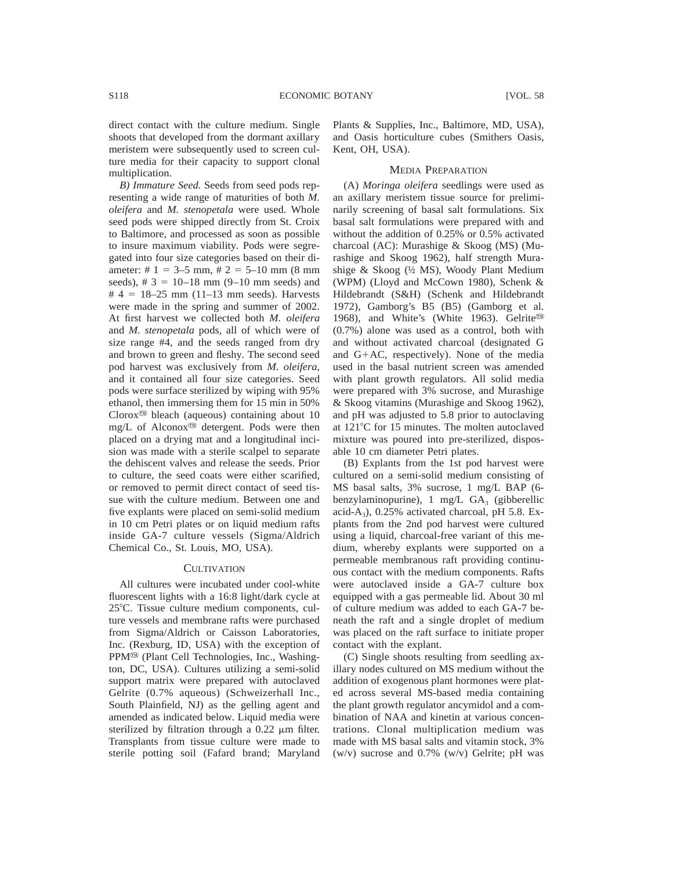direct contact with the culture medium. Single shoots that developed from the dormant axillary meristem were subsequently used to screen culture media for their capacity to support clonal multiplication.

*B) Immature Seed.* Seeds from seed pods representing a wide range of maturities of both *M. oleifera* and *M. stenopetala* were used. Whole seed pods were shipped directly from St. Croix to Baltimore, and processed as soon as possible to insure maximum viability. Pods were segregated into four size categories based on their diameter: #  $1 = 3 - 5$  mm, #  $2 = 5 - 10$  mm (8 mm seeds),  $\# 3 = 10 - 18$  mm (9–10 mm seeds) and # 4 = 18–25 mm (11–13 mm seeds). Harvests were made in the spring and summer of 2002. At first harvest we collected both *M. oleifera* and *M. stenopetala* pods, all of which were of size range #4, and the seeds ranged from dry and brown to green and fleshy. The second seed pod harvest was exclusively from *M. oleifera,* and it contained all four size categories. Seed pods were surface sterilized by wiping with 95% ethanol, then immersing them for 15 min in 50%  $Cloor^{\circledR}$  bleach (aqueous) containing about 10 mg/L of Alconox<sup> $\textcircled{m}$ </sup> detergent. Pods were then placed on a drying mat and a longitudinal incision was made with a sterile scalpel to separate the dehiscent valves and release the seeds. Prior to culture, the seed coats were either scarified, or removed to permit direct contact of seed tissue with the culture medium. Between one and five explants were placed on semi-solid medium in 10 cm Petri plates or on liquid medium rafts inside GA-7 culture vessels (Sigma/Aldrich Chemical Co., St. Louis, MO, USA).

## **CULTIVATION**

All cultures were incubated under cool-white fluorescent lights with a 16:8 light/dark cycle at 25°C. Tissue culture medium components, culture vessels and membrane rafts were purchased from Sigma/Aldrich or Caisson Laboratories, Inc. (Rexburg, ID, USA) with the exception of PPM<sup>®</sup> (Plant Cell Technologies, Inc., Washington, DC, USA). Cultures utilizing a semi-solid support matrix were prepared with autoclaved Gelrite (0.7% aqueous) (Schweizerhall Inc., South Plainfield, NJ) as the gelling agent and amended as indicated below. Liquid media were sterilized by filtration through a  $0.22 \mu m$  filter. Transplants from tissue culture were made to sterile potting soil (Fafard brand; Maryland

Plants & Supplies, Inc., Baltimore, MD, USA), and Oasis horticulture cubes (Smithers Oasis, Kent, OH, USA).

## MEDIA PREPARATION

(A) *Moringa oleifera* seedlings were used as an axillary meristem tissue source for preliminarily screening of basal salt formulations. Six basal salt formulations were prepared with and without the addition of 0.25% or 0.5% activated charcoal (AC): Murashige & Skoog (MS) (Murashige and Skoog 1962), half strength Murashige & Skoog (½ MS), Woody Plant Medium (WPM) (Lloyd and McCown 1980), Schenk & Hildebrandt (S&H) (Schenk and Hildebrandt 1972), Gamborg's B5 (B5) (Gamborg et al. 1968), and White's (White 1963). Gelrite<sup>®</sup> (0.7%) alone was used as a control, both with and without activated charcoal (designated G and  $G+AC$ , respectively). None of the media used in the basal nutrient screen was amended with plant growth regulators. All solid media were prepared with 3% sucrose, and Murashige & Skoog vitamins (Murashige and Skoog 1962), and pH was adjusted to 5.8 prior to autoclaving at 121°C for 15 minutes. The molten autoclaved mixture was poured into pre-sterilized, disposable 10 cm diameter Petri plates.

(B) Explants from the 1st pod harvest were cultured on a semi-solid medium consisting of MS basal salts, 3% sucrose, 1 mg/L BAP (6 benzylaminopurine),  $1 \text{ mg/L } GA_3$  (gibberellic acid-A<sub>3</sub>),  $0.25\%$  activated charcoal, pH 5.8. Explants from the 2nd pod harvest were cultured using a liquid, charcoal-free variant of this medium, whereby explants were supported on a permeable membranous raft providing continuous contact with the medium components. Rafts were autoclaved inside a GA-7 culture box equipped with a gas permeable lid. About 30 ml of culture medium was added to each GA-7 beneath the raft and a single droplet of medium was placed on the raft surface to initiate proper contact with the explant.

(C) Single shoots resulting from seedling axillary nodes cultured on MS medium without the addition of exogenous plant hormones were plated across several MS-based media containing the plant growth regulator ancymidol and a combination of NAA and kinetin at various concentrations. Clonal multiplication medium was made with MS basal salts and vitamin stock, 3% (w/v) sucrose and 0.7% (w/v) Gelrite; pH was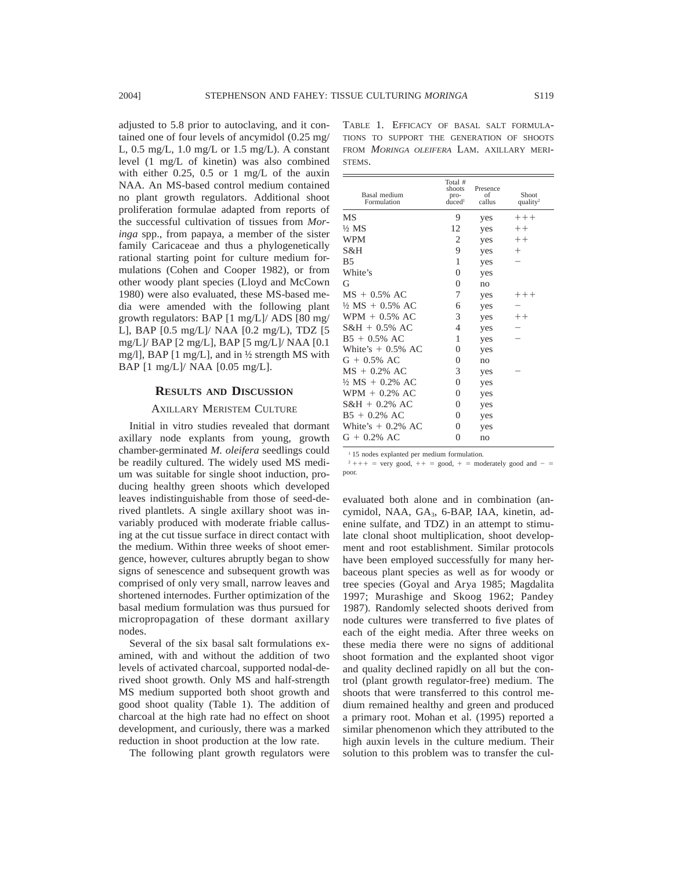adjusted to 5.8 prior to autoclaving, and it contained one of four levels of ancymidol (0.25 mg/ L, 0.5 mg/L, 1.0 mg/L or 1.5 mg/L). A constant level (1 mg/L of kinetin) was also combined with either 0.25, 0.5 or 1 mg/L of the auxin NAA. An MS-based control medium contained no plant growth regulators. Additional shoot proliferation formulae adapted from reports of the successful cultivation of tissues from *Moringa* spp., from papaya, a member of the sister family Caricaceae and thus a phylogenetically rational starting point for culture medium formulations (Cohen and Cooper 1982), or from other woody plant species (Lloyd and McCown 1980) were also evaluated, these MS-based media were amended with the following plant growth regulators: BAP [1 mg/L]/ ADS [80 mg/ L], BAP [0.5 mg/L]/ NAA [0.2 mg/L), TDZ [5 mg/L]/ BAP [2 mg/L], BAP [5 mg/L]/ NAA [0.1 mg/l], BAP [1 mg/L], and in ½ strength MS with BAP [1 mg/L]/ NAA [0.05 mg/L].

### **RESULTS AND DISCUSSION**

## AXILLARY MERISTEM CULTURE

Initial in vitro studies revealed that dormant axillary node explants from young, growth chamber-germinated *M. oleifera* seedlings could be readily cultured. The widely used MS medium was suitable for single shoot induction, producing healthy green shoots which developed leaves indistinguishable from those of seed-derived plantlets. A single axillary shoot was invariably produced with moderate friable callusing at the cut tissue surface in direct contact with the medium. Within three weeks of shoot emergence, however, cultures abruptly began to show signs of senescence and subsequent growth was comprised of only very small, narrow leaves and shortened internodes. Further optimization of the basal medium formulation was thus pursued for micropropagation of these dormant axillary nodes.

Several of the six basal salt formulations examined, with and without the addition of two levels of activated charcoal, supported nodal-derived shoot growth. Only MS and half-strength MS medium supported both shoot growth and good shoot quality (Table 1). The addition of charcoal at the high rate had no effect on shoot development, and curiously, there was a marked reduction in shoot production at the low rate.

The following plant growth regulators were

TABLE 1. EFFICACY OF BASAL SALT FORMULA-TIONS TO SUPPORT THE GENERATION OF SHOOTS FROM *MORINGA OLEIFERA* LAM. AXILLARY MERI-STEMS.

| Basal medium<br>Formulation | Total #<br>shoots<br>pro-<br>$d\bar{u}$ ced <sup>1</sup> | Presence<br>of<br>callus | Shoot<br>quality <sup>2</sup> |
|-----------------------------|----------------------------------------------------------|--------------------------|-------------------------------|
| МS                          | 9                                                        | yes                      | $++++$                        |
| ½ MS                        | 12                                                       | yes                      | $++$                          |
| WPM                         | $\mathfrak{2}$                                           | yes                      | $++$                          |
| S&H                         | 9                                                        | yes                      | $^+$                          |
| Β5                          | 1                                                        | yes                      |                               |
| White's                     | $\overline{0}$                                           | yes                      |                               |
| G                           | $\overline{0}$                                           | no                       |                               |
| $MS + 0.5% AC$              | 7                                                        | yes                      | $++++$                        |
| $\frac{1}{2}$ MS + 0.5% AC  | 6                                                        | yes                      |                               |
| $WPM + 0.5\%$ AC            | 3                                                        | yes                      | $++$                          |
| $S&H + 0.5\%$ AC            | 4                                                        | yes                      |                               |
| B5 + 0.5% AC                | 1                                                        | yes                      |                               |
| White's $+$ 0.5% AC         | $\overline{0}$                                           | yes                      |                               |
| $G + 0.5\%$ AC              | $\overline{0}$                                           | no                       |                               |
| MS + 0.2% AC                | 3                                                        | yes                      |                               |
| ½ MS + 0.2% AC              | $\overline{0}$                                           | yes                      |                               |
| $WPM + 0.2\%$ AC            | $\boldsymbol{0}$                                         | yes                      |                               |
| $S&H + 0.2\%$ AC            | $\overline{0}$                                           | yes                      |                               |
| $B5 + 0.2\% \text{ AC}$     | $\overline{0}$                                           | yes                      |                               |
| White's $+$ 0.2% AC         | $\overline{0}$                                           | yes                      |                               |
| G + 0.2% AC                 | $\boldsymbol{0}$                                         | no                       |                               |

<sup>1</sup> 15 nodes explanted per medium formulation.

 $2 + + +$  = very good,  $+$  = good,  $+$  = moderately good and - = poor.

evaluated both alone and in combination (ancymidol, NAA, GA<sub>3</sub>, 6-BAP, IAA, kinetin, adenine sulfate, and TDZ) in an attempt to stimulate clonal shoot multiplication, shoot development and root establishment. Similar protocols have been employed successfully for many herbaceous plant species as well as for woody or tree species (Goyal and Arya 1985; Magdalita 1997; Murashige and Skoog 1962; Pandey 1987). Randomly selected shoots derived from node cultures were transferred to five plates of each of the eight media. After three weeks on these media there were no signs of additional shoot formation and the explanted shoot vigor and quality declined rapidly on all but the control (plant growth regulator-free) medium. The shoots that were transferred to this control medium remained healthy and green and produced a primary root. Mohan et al. (1995) reported a similar phenomenon which they attributed to the high auxin levels in the culture medium. Their solution to this problem was to transfer the cul-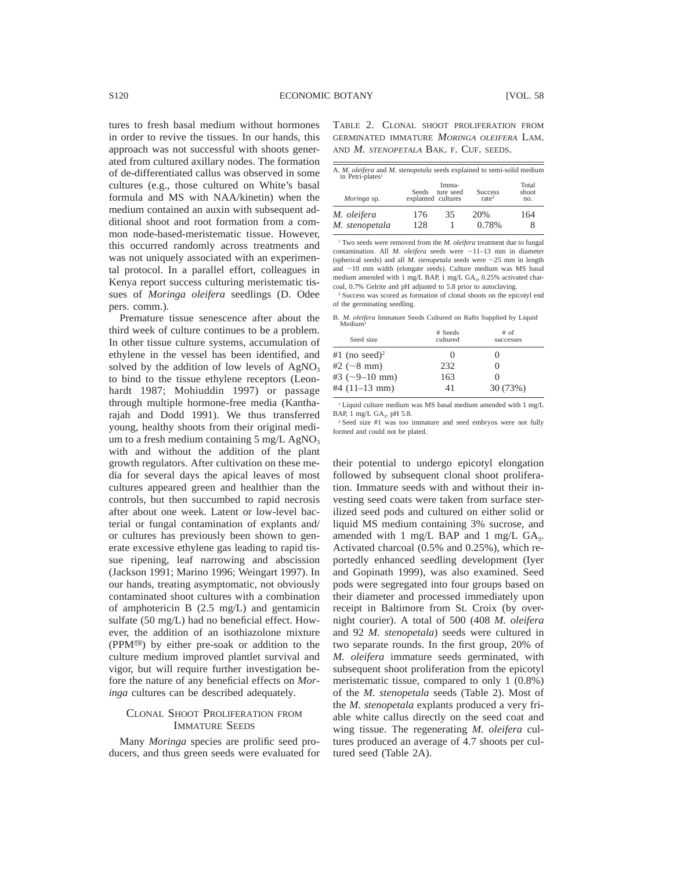tures to fresh basal medium without hormones in order to revive the tissues. In our hands, this approach was not successful with shoots generated from cultured axillary nodes. The formation of de-differentiated callus was observed in some cultures (e.g., those cultured on White's basal formula and MS with NAA/kinetin) when the medium contained an auxin with subsequent additional shoot and root formation from a common node-based-meristematic tissue. However, this occurred randomly across treatments and was not uniquely associated with an experimental protocol. In a parallel effort, colleagues in Kenya report success culturing meristematic tissues of *Moringa oleifera* seedlings (D. Odee pers. comm.).

Premature tissue senescence after about the third week of culture continues to be a problem. In other tissue culture systems, accumulation of ethylene in the vessel has been identified, and solved by the addition of low levels of  $AgNO<sub>3</sub>$ to bind to the tissue ethylene receptors (Leonhardt 1987; Mohiuddin 1997) or passage through multiple hormone-free media (Kantharajah and Dodd 1991). We thus transferred young, healthy shoots from their original medium to a fresh medium containing  $5 \text{ mg/L AgNO}_3$ with and without the addition of the plant growth regulators. After cultivation on these media for several days the apical leaves of most cultures appeared green and healthier than the controls, but then succumbed to rapid necrosis after about one week. Latent or low-level bacterial or fungal contamination of explants and/ or cultures has previously been shown to generate excessive ethylene gas leading to rapid tissue ripening, leaf narrowing and abscission (Jackson 1991; Marino 1996; Weingart 1997). In our hands, treating asymptomatic, not obviously contaminated shoot cultures with a combination of amphotericin B (2.5 mg/L) and gentamicin sulfate (50 mg/L) had no beneficial effect. However, the addition of an isothiazolone mixture (PPMy) by either pre-soak or addition to the culture medium improved plantlet survival and vigor, but will require further investigation before the nature of any beneficial effects on *Moringa* cultures can be described adequately.

## CLONAL SHOOT PROLIFERATION FROM IMMATURE SEEDS

Many *Moringa* species are prolific seed producers, and thus green seeds were evaluated for TABLE 2. CLONAL SHOOT PROLIFERATION FROM GERMINATED IMMATURE *MORINGA OLEIFERA* LAM. AND *M. STENOPETALA* BAK. F. CUF. SEEDS.

| A. M. oleifera and M. stenopetala seeds explained to semi-solid medium<br>in Petri-plates <sup>1</sup> |                             |                    |                                     |                       |
|--------------------------------------------------------------------------------------------------------|-----------------------------|--------------------|-------------------------------------|-----------------------|
| Moringa sp.                                                                                            | Seeds<br>explanted cultures | Imma-<br>ture seed | <b>Success</b><br>rate <sup>2</sup> | Total<br>shoot<br>no. |
| M. oleifera                                                                                            | 176                         | 35                 | 20%                                 | 164                   |
| M. stenopetala                                                                                         | 128                         |                    | 0.78%                               | 8                     |

<sup>1</sup> Two seeds were removed from the *M. oleifera* treatment due to fungal contamination. All *M. oleifera* seeds were  $\sim$ 11-13 mm in diameter (spherical seeds) and all  $M$ . stenopetala seeds were  $\sim$  25 mm in length and  $\sim$ 10 mm width (elongate seeds). Culture medium was MS basal medium amended with 1 mg/L BAP, 1 mg/L GA<sub>3</sub>, 0.25% activated charcoal, 0.7% Gelrite and pH adjusted to 5.8 prior to autoclaving.

<sup>2</sup> Success was scored as formation of clonal shoots on the epicotyl end of the germinating seedling.

B. *M. oleifera* Immature Seeds Cultured on Rafts Supplied by Liquid

| Median <sup>1</sup>       |                     |                     |  |  |
|---------------------------|---------------------|---------------------|--|--|
| Seed size                 | # Seeds<br>cultured | $#$ of<br>successes |  |  |
| #1 (no seed) <sup>2</sup> |                     |                     |  |  |
| #2 ( $\sim$ 8 mm)         | 232                 |                     |  |  |
| #3 $(-9-10$ mm)           | 163                 |                     |  |  |
| #4 $(11-13$ mm)           | 41                  | 30 (73%)            |  |  |
|                           |                     |                     |  |  |

<sup>1</sup> Liquid culture medium was MS basal medium amended with 1 mg/L BAP, 1 mg/L GA<sub>3</sub>, pH 5.8.

<sup>2</sup> Seed size #1 was too immature and seed embryos were not fully formed and could not be plated.

their potential to undergo epicotyl elongation followed by subsequent clonal shoot proliferation. Immature seeds with and without their investing seed coats were taken from surface sterilized seed pods and cultured on either solid or liquid MS medium containing 3% sucrose, and amended with 1 mg/L BAP and 1 mg/L  $GA_3$ . Activated charcoal (0.5% and 0.25%), which reportedly enhanced seedling development (Iyer and Gopinath 1999), was also examined. Seed pods were segregated into four groups based on their diameter and processed immediately upon receipt in Baltimore from St. Croix (by overnight courier). A total of 500 (408 *M. oleifera* and 92 *M. stenopetala*) seeds were cultured in two separate rounds. In the first group, 20% of *M. oleifera* immature seeds germinated, with subsequent shoot proliferation from the epicotyl meristematic tissue, compared to only 1 (0.8%) of the *M. stenopetala* seeds (Table 2). Most of the *M. stenopetala* explants produced a very friable white callus directly on the seed coat and wing tissue. The regenerating *M. oleifera* cultures produced an average of 4.7 shoots per cultured seed (Table 2A).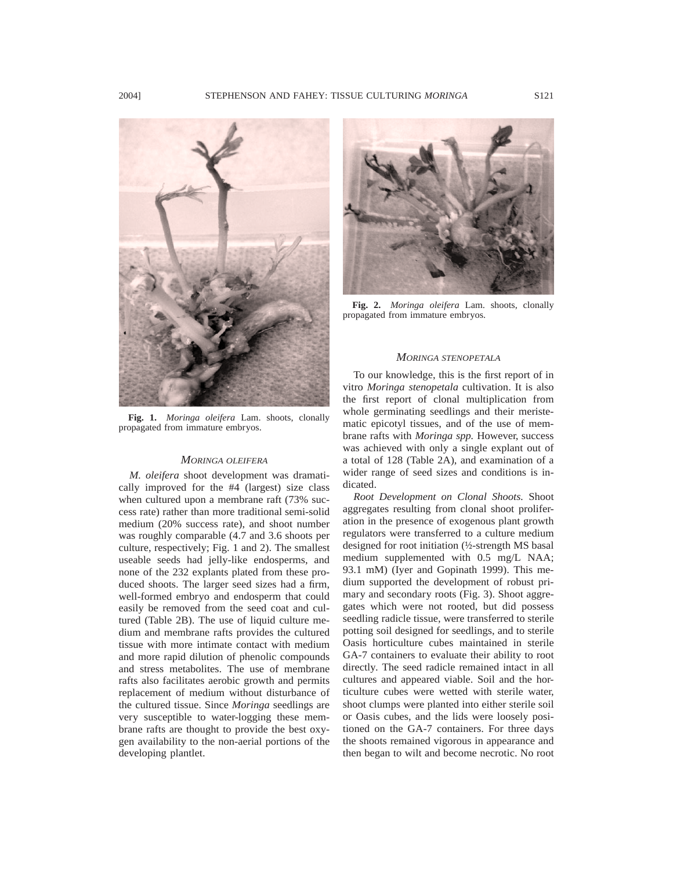

**Fig. 1.** *Moringa oleifera* Lam. shoots, clonally propagated from immature embryos.

#### *MORINGA OLEIFERA*

*M. oleifera* shoot development was dramatically improved for the #4 (largest) size class when cultured upon a membrane raft (73% success rate) rather than more traditional semi-solid medium (20% success rate), and shoot number was roughly comparable (4.7 and 3.6 shoots per culture, respectively; Fig. 1 and 2). The smallest useable seeds had jelly-like endosperms, and none of the 232 explants plated from these produced shoots. The larger seed sizes had a firm, well-formed embryo and endosperm that could easily be removed from the seed coat and cultured (Table 2B). The use of liquid culture medium and membrane rafts provides the cultured tissue with more intimate contact with medium and more rapid dilution of phenolic compounds and stress metabolites. The use of membrane rafts also facilitates aerobic growth and permits replacement of medium without disturbance of the cultured tissue. Since *Moringa* seedlings are very susceptible to water-logging these membrane rafts are thought to provide the best oxygen availability to the non-aerial portions of the developing plantlet.



**Fig. 2.** *Moringa oleifera* Lam. shoots, clonally propagated from immature embryos.

## *MORINGA STENOPETALA*

To our knowledge, this is the first report of in vitro *Moringa stenopetala* cultivation. It is also the first report of clonal multiplication from whole germinating seedlings and their meristematic epicotyl tissues, and of the use of membrane rafts with *Moringa spp.* However, success was achieved with only a single explant out of a total of 128 (Table 2A), and examination of a wider range of seed sizes and conditions is indicated.

*Root Development on Clonal Shoots.* Shoot aggregates resulting from clonal shoot proliferation in the presence of exogenous plant growth regulators were transferred to a culture medium designed for root initiation (½-strength MS basal medium supplemented with 0.5 mg/L NAA; 93.1 mM) (Iyer and Gopinath 1999). This medium supported the development of robust primary and secondary roots (Fig. 3). Shoot aggregates which were not rooted, but did possess seedling radicle tissue, were transferred to sterile potting soil designed for seedlings, and to sterile Oasis horticulture cubes maintained in sterile GA-7 containers to evaluate their ability to root directly. The seed radicle remained intact in all cultures and appeared viable. Soil and the horticulture cubes were wetted with sterile water, shoot clumps were planted into either sterile soil or Oasis cubes, and the lids were loosely positioned on the GA-7 containers. For three days the shoots remained vigorous in appearance and then began to wilt and become necrotic. No root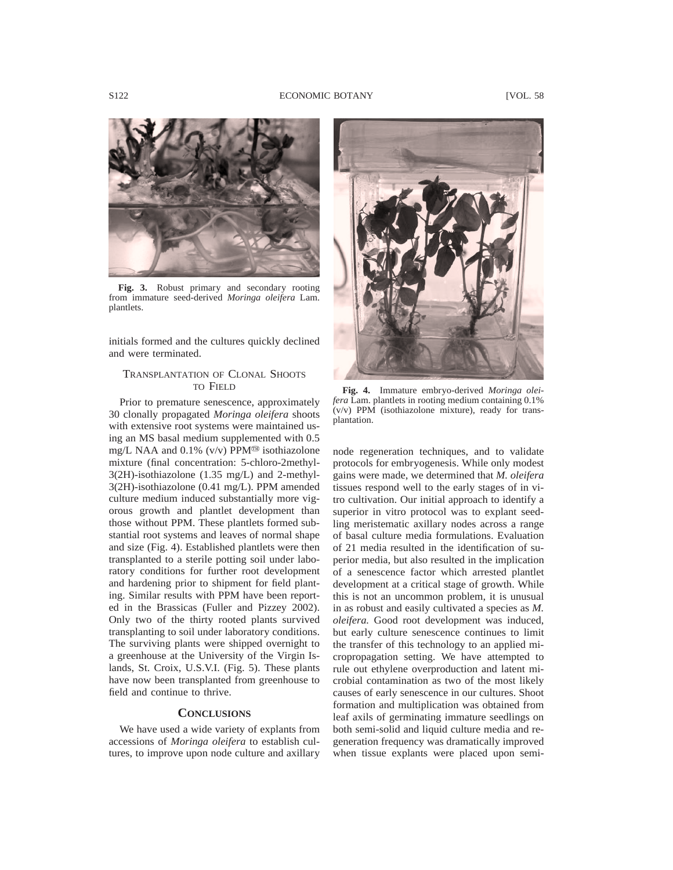

**Fig. 3.** Robust primary and secondary rooting from immature seed-derived *Moringa oleifera* Lam. plantlets.

initials formed and the cultures quickly declined and were terminated.

## TRANSPLANTATION OF CLONAL SHOOTS TO FIELD

Prior to premature senescence, approximately 30 clonally propagated *Moringa oleifera* shoots with extensive root systems were maintained using an MS basal medium supplemented with 0.5 mg/L NAA and 0.1% (v/v) PPM<sup>®</sup> isothiazolone mixture (final concentration: 5-chloro-2methyl-3(2H)-isothiazolone (1.35 mg/L) and 2-methyl-3(2H)-isothiazolone (0.41 mg/L). PPM amended culture medium induced substantially more vigorous growth and plantlet development than those without PPM. These plantlets formed substantial root systems and leaves of normal shape and size (Fig. 4). Established plantlets were then transplanted to a sterile potting soil under laboratory conditions for further root development and hardening prior to shipment for field planting. Similar results with PPM have been reported in the Brassicas (Fuller and Pizzey 2002). Only two of the thirty rooted plants survived transplanting to soil under laboratory conditions. The surviving plants were shipped overnight to a greenhouse at the University of the Virgin Islands, St. Croix, U.S.V.I. (Fig. 5). These plants have now been transplanted from greenhouse to field and continue to thrive.

## **CONCLUSIONS**

We have used a wide variety of explants from accessions of *Moringa oleifera* to establish cultures, to improve upon node culture and axillary



**Fig. 4.** Immature embryo-derived *Moringa oleifera* Lam. plantlets in rooting medium containing 0.1% (v/v) PPM (isothiazolone mixture), ready for transplantation.

node regeneration techniques, and to validate protocols for embryogenesis. While only modest gains were made, we determined that *M. oleifera* tissues respond well to the early stages of in vitro cultivation. Our initial approach to identify a superior in vitro protocol was to explant seedling meristematic axillary nodes across a range of basal culture media formulations. Evaluation of 21 media resulted in the identification of superior media, but also resulted in the implication of a senescence factor which arrested plantlet development at a critical stage of growth. While this is not an uncommon problem, it is unusual in as robust and easily cultivated a species as *M. oleifera.* Good root development was induced, but early culture senescence continues to limit the transfer of this technology to an applied micropropagation setting. We have attempted to rule out ethylene overproduction and latent microbial contamination as two of the most likely causes of early senescence in our cultures. Shoot formation and multiplication was obtained from leaf axils of germinating immature seedlings on both semi-solid and liquid culture media and regeneration frequency was dramatically improved when tissue explants were placed upon semi-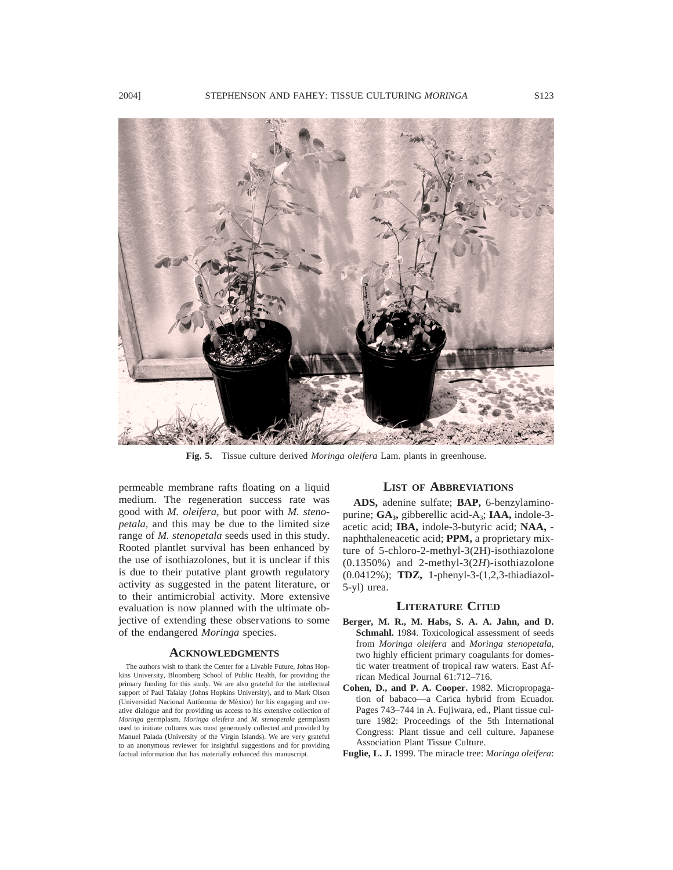

**Fig. 5.** Tissue culture derived *Moringa oleifera* Lam. plants in greenhouse.

permeable membrane rafts floating on a liquid medium. The regeneration success rate was good with *M. oleifera,* but poor with *M. stenopetala,* and this may be due to the limited size range of *M. stenopetala* seeds used in this study. Rooted plantlet survival has been enhanced by the use of isothiazolones, but it is unclear if this is due to their putative plant growth regulatory activity as suggested in the patent literature, or to their antimicrobial activity. More extensive evaluation is now planned with the ultimate objective of extending these observations to some of the endangered *Moringa* species.

## **ACKNOWLEDGMENTS**

The authors wish to thank the Center for a Livable Future, Johns Hopkins University, Bloomberg School of Public Health, for providing the primary funding for this study. We are also grateful for the intellectual support of Paul Talalay (Johns Hopkins University), and to Mark Olson (Universidad Nacional Autónoma de México) for his engaging and creative dialogue and for providing us access to his extensive collection of *Moringa* germplasm. *Moringa oleifera* and *M. stenopetala* germplasm used to initiate cultures was most generously collected and provided by Manuel Palada (University of the Virgin Islands). We are very grateful to an anonymous reviewer for insightful suggestions and for providing factual information that has materially enhanced this manuscript.

#### **LIST OF ABBREVIATIONS**

**ADS,** adenine sulfate; **BAP,** 6-benzylaminopurine; GA<sub>3</sub>, gibberellic acid-A<sub>3</sub>; IAA, indole-3acetic acid; **IBA,** indole-3-butyric acid; **NAA,** naphthaleneacetic acid; **PPM,** a proprietary mixture of 5-chloro-2-methyl-3(2H)-isothiazolone (0.1350%) and 2-methyl-3(2*H*)-isothiazolone (0.0412%); **TDZ,** 1-phenyl-3-(1,2,3-thiadiazol-5-yl) urea.

#### **LITERATURE CITED**

- **Berger, M. R., M. Habs, S. A. A. Jahn, and D. Schmahl.** 1984. Toxicological assessment of seeds from *Moringa oleifera* and *Moringa stenopetala,* two highly efficient primary coagulants for domestic water treatment of tropical raw waters. East African Medical Journal 61:712–716.
- **Cohen, D., and P. A. Cooper.** 1982. Micropropagation of babaco—a Carica hybrid from Ecuador. Pages 743–744 in A. Fujiwara, ed., Plant tissue culture 1982: Proceedings of the 5th International Congress: Plant tissue and cell culture. Japanese Association Plant Tissue Culture.
- **Fuglie, L. J.** 1999. The miracle tree: *Moringa oleifera*: